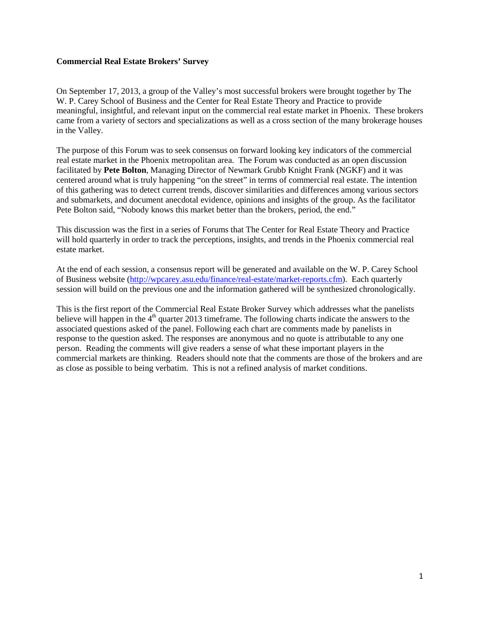#### **Commercial Real Estate Brokers' Survey**

On September 17, 2013, a group of the Valley's most successful brokers were brought together by The W. P. Carey School of Business and the Center for Real Estate Theory and Practice to provide meaningful, insightful, and relevant input on the commercial real estate market in Phoenix. These brokers came from a variety of sectors and specializations as well as a cross section of the many brokerage houses in the Valley.

The purpose of this Forum was to seek consensus on forward looking key indicators of the commercial real estate market in the Phoenix metropolitan area. The Forum was conducted as an open discussion facilitated by **Pete Bolton**, Managing Director of Newmark Grubb Knight Frank (NGKF) and it was centered around what is truly happening "on the street" in terms of commercial real estate. The intention of this gathering was to detect current trends, discover similarities and differences among various sectors and submarkets, and document anecdotal evidence, opinions and insights of the group. As the facilitator Pete Bolton said, "Nobody knows this market better than the brokers, period, the end."

This discussion was the first in a series of Forums that The Center for Real Estate Theory and Practice will hold quarterly in order to track the perceptions, insights, and trends in the Phoenix commercial real estate market.

At the end of each session, a consensus report will be generated and available on the W. P. Carey School of Business website [\(http://wpcarey.asu.edu/finance/real-estate/market-reports.cfm\)](http://wpcarey.asu.edu/finance/real-estate/market-reports.cfm). Each quarterly session will build on the previous one and the information gathered will be synthesized chronologically.

This is the first report of the Commercial Real Estate Broker Survey which addresses what the panelists believe will happen in the 4<sup>th</sup> quarter 2013 timeframe. The following charts indicate the answers to the associated questions asked of the panel. Following each chart are comments made by panelists in response to the question asked. The responses are anonymous and no quote is attributable to any one person. Reading the comments will give readers a sense of what these important players in the commercial markets are thinking. Readers should note that the comments are those of the brokers and are as close as possible to being verbatim. This is not a refined analysis of market conditions.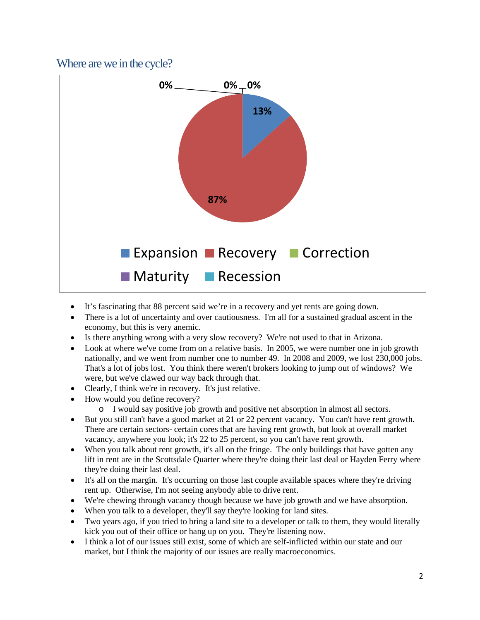#### Where are we in the cycle?



- It's fascinating that 88 percent said we're in a recovery and yet rents are going down.
- There is a lot of uncertainty and over cautiousness. I'm all for a sustained gradual ascent in the economy, but this is very anemic.
- Is there anything wrong with a very slow recovery? We're not used to that in Arizona.
- Look at where we've come from on a relative basis. In 2005, we were number one in job growth nationally, and we went from number one to number 49. In 2008 and 2009, we lost 230,000 jobs. That's a lot of jobs lost. You think there weren't brokers looking to jump out of windows? We were, but we've clawed our way back through that.
- Clearly, I think we're in recovery. It's just relative.
- How would you define recovery?
	- o I would say positive job growth and positive net absorption in almost all sectors.
- But you still can't have a good market at 21 or 22 percent vacancy. You can't have rent growth. There are certain sectors- certain cores that are having rent growth, but look at overall market vacancy, anywhere you look; it's 22 to 25 percent, so you can't have rent growth.
- When you talk about rent growth, it's all on the fringe. The only buildings that have gotten any lift in rent are in the Scottsdale Quarter where they're doing their last deal or Hayden Ferry where they're doing their last deal.
- It's all on the margin. It's occurring on those last couple available spaces where they're driving rent up. Otherwise, I'm not seeing anybody able to drive rent.
- We're chewing through vacancy though because we have job growth and we have absorption.
- When you talk to a developer, they'll say they're looking for land sites.
- Two years ago, if you tried to bring a land site to a developer or talk to them, they would literally kick you out of their office or hang up on you. They're listening now.
- I think a lot of our issues still exist, some of which are self-inflicted within our state and our market, but I think the majority of our issues are really macroeconomics.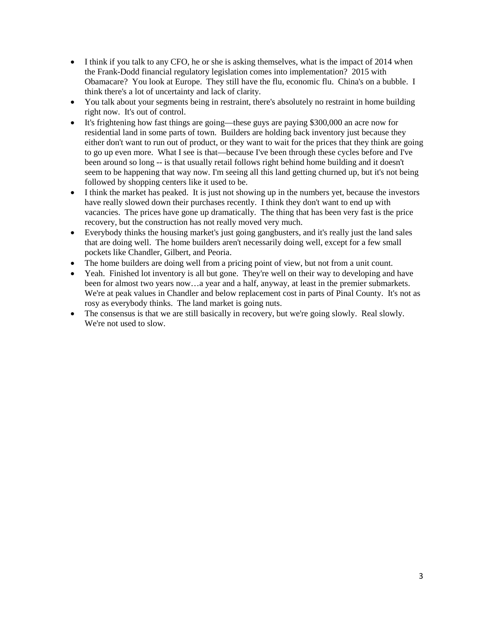- I think if you talk to any CFO, he or she is asking themselves, what is the impact of 2014 when the Frank-Dodd financial regulatory legislation comes into implementation? 2015 with Obamacare? You look at Europe. They still have the flu, economic flu. China's on a bubble. I think there's a lot of uncertainty and lack of clarity.
- You talk about your segments being in restraint, there's absolutely no restraint in home building right now. It's out of control.
- It's frightening how fast things are going—these guys are paying \$300,000 an acre now for residential land in some parts of town. Builders are holding back inventory just because they either don't want to run out of product, or they want to wait for the prices that they think are going to go up even more. What I see is that—because I've been through these cycles before and I've been around so long -- is that usually retail follows right behind home building and it doesn't seem to be happening that way now. I'm seeing all this land getting churned up, but it's not being followed by shopping centers like it used to be.
- I think the market has peaked. It is just not showing up in the numbers yet, because the investors have really slowed down their purchases recently. I think they don't want to end up with vacancies. The prices have gone up dramatically. The thing that has been very fast is the price recovery, but the construction has not really moved very much.
- Everybody thinks the housing market's just going gangbusters, and it's really just the land sales that are doing well. The home builders aren't necessarily doing well, except for a few small pockets like Chandler, Gilbert, and Peoria.
- The home builders are doing well from a pricing point of view, but not from a unit count.
- Yeah. Finished lot inventory is all but gone. They're well on their way to developing and have been for almost two years now…a year and a half, anyway, at least in the premier submarkets. We're at peak values in Chandler and below replacement cost in parts of Pinal County. It's not as rosy as everybody thinks. The land market is going nuts.
- The consensus is that we are still basically in recovery, but we're going slowly. Real slowly. We're not used to slow.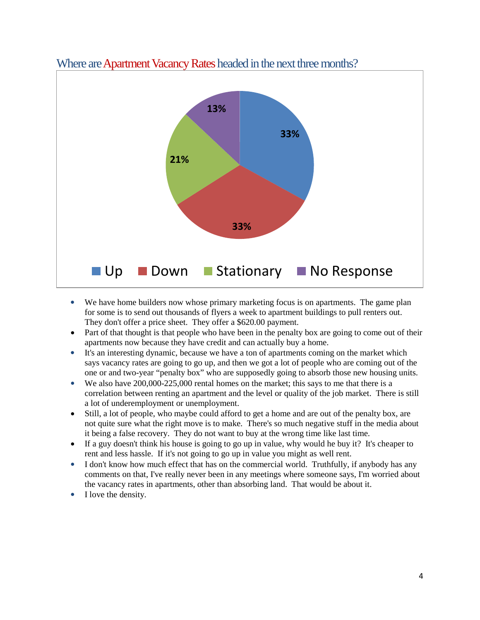

#### Where are Apartment Vacancy Rates headed in the next three months?

- We have home builders now whose primary marketing focus is on apartments. The game plan for some is to send out thousands of flyers a week to apartment buildings to pull renters out. They don't offer a price sheet. They offer a \$620.00 payment.
- Part of that thought is that people who have been in the penalty box are going to come out of their apartments now because they have credit and can actually buy a home.
- It's an interesting dynamic, because we have a ton of apartments coming on the market which says vacancy rates are going to go up, and then we got a lot of people who are coming out of the one or and two-year "penalty box" who are supposedly going to absorb those new housing units.
- We also have 200,000-225,000 rental homes on the market; this says to me that there is a correlation between renting an apartment and the level or quality of the job market. There is still a lot of underemployment or unemployment.
- Still, a lot of people, who maybe could afford to get a home and are out of the penalty box, are not quite sure what the right move is to make. There's so much negative stuff in the media about it being a false recovery. They do not want to buy at the wrong time like last time.
- If a guy doesn't think his house is going to go up in value, why would he buy it? It's cheaper to rent and less hassle. If it's not going to go up in value you might as well rent.
- I don't know how much effect that has on the commercial world. Truthfully, if anybody has any comments on that, I've really never been in any meetings where someone says, I'm worried about the vacancy rates in apartments, other than absorbing land. That would be about it.
- I love the density.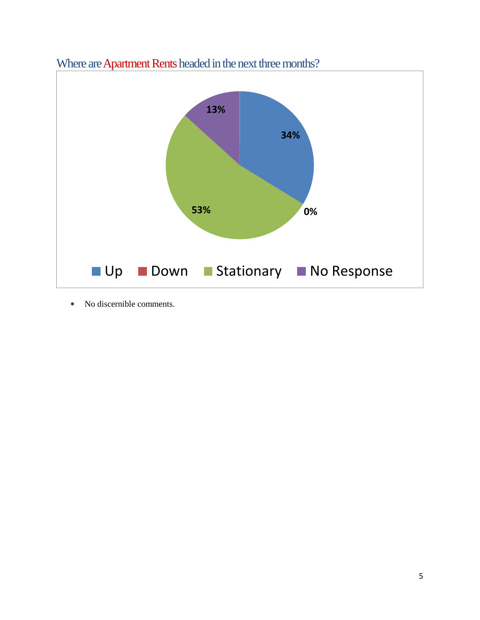

Where are Apartment Rents headed in the next three months?

• No discernible comments.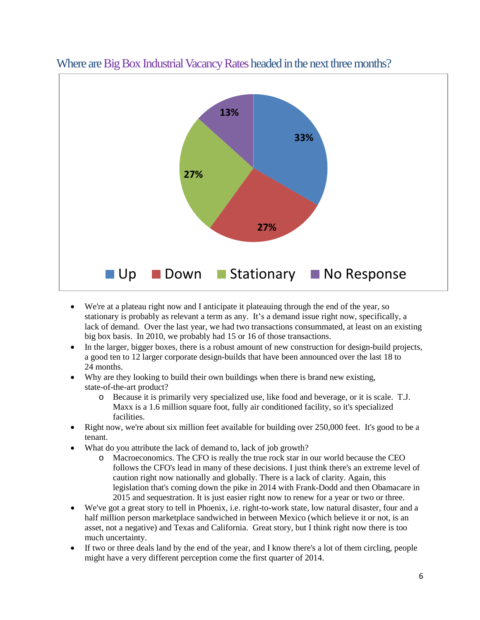

### Where are Big Box Industrial Vacancy Rates headed in the next three months?

- We're at a plateau right now and I anticipate it plateauing through the end of the year, so stationary is probably as relevant a term as any. It's a demand issue right now, specifically, a lack of demand. Over the last year, we had two transactions consummated, at least on an existing big box basis. In 2010, we probably had 15 or 16 of those transactions.
- In the larger, bigger boxes, there is a robust amount of new construction for design-build projects, a good ten to 12 larger corporate design-builds that have been announced over the last 18 to 24 months.
- Why are they looking to build their own buildings when there is brand new existing, state-of-the-art product?
	- o Because it is primarily very specialized use, like food and beverage, or it is scale. T.J. Maxx is a 1.6 million square foot, fully air conditioned facility, so it's specialized facilities.
- Right now, we're about six million feet available for building over 250,000 feet. It's good to be a tenant.
- What do you attribute the lack of demand to, lack of job growth?
	- o Macroeconomics. The CFO is really the true rock star in our world because the CEO follows the CFO's lead in many of these decisions. I just think there's an extreme level of caution right now nationally and globally. There is a lack of clarity. Again, this legislation that's coming down the pike in 2014 with Frank-Dodd and then Obamacare in 2015 and sequestration. It is just easier right now to renew for a year or two or three.
- We've got a great story to tell in Phoenix, i.e. right-to-work state, low natural disaster, four and a half million person marketplace sandwiched in between Mexico (which believe it or not, is an asset, not a negative) and Texas and California. Great story, but I think right now there is too much uncertainty.
- If two or three deals land by the end of the year, and I know there's a lot of them circling, people might have a very different perception come the first quarter of 2014.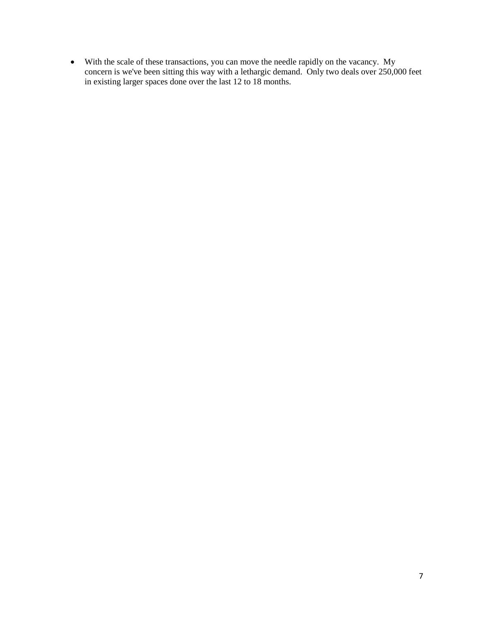• With the scale of these transactions, you can move the needle rapidly on the vacancy. My concern is we've been sitting this way with a lethargic demand. Only two deals over 250,000 feet in existing larger spaces done over the last 12 to 18 months.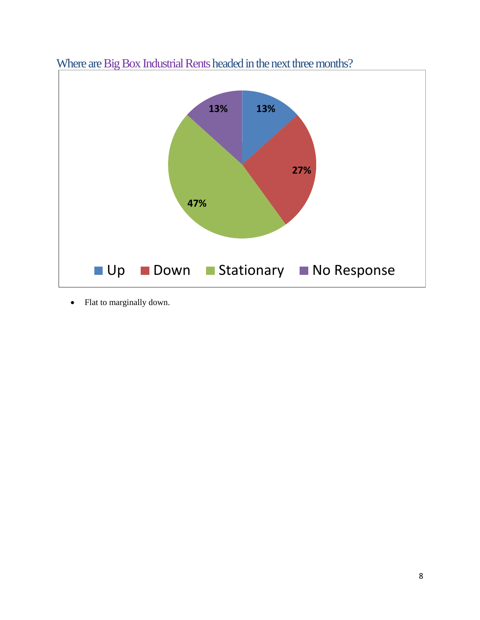

Where are Big Box Industrial Rents headed in the next three months?

• Flat to marginally down.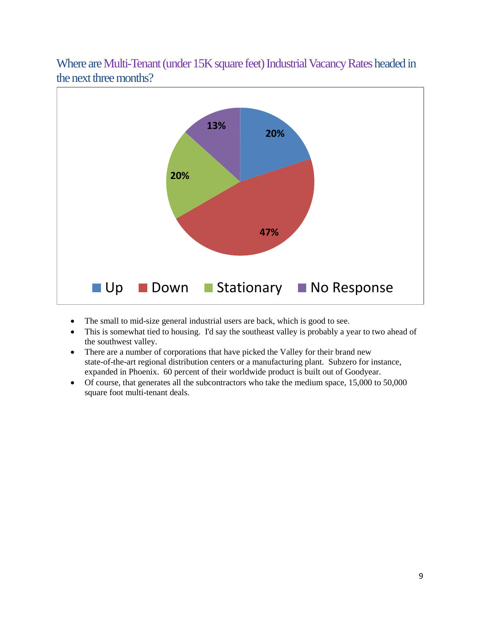Where are Multi-Tenant (under 15K square feet) Industrial Vacancy Rates headed in the next three months?



- The small to mid-size general industrial users are back, which is good to see.
- This is somewhat tied to housing. I'd say the southeast valley is probably a year to two ahead of the southwest valley.
- There are a number of corporations that have picked the Valley for their brand new state-of-the-art regional distribution centers or a manufacturing plant. Subzero for instance, expanded in Phoenix. 60 percent of their worldwide product is built out of Goodyear.
- Of course, that generates all the subcontractors who take the medium space, 15,000 to 50,000 square foot multi-tenant deals.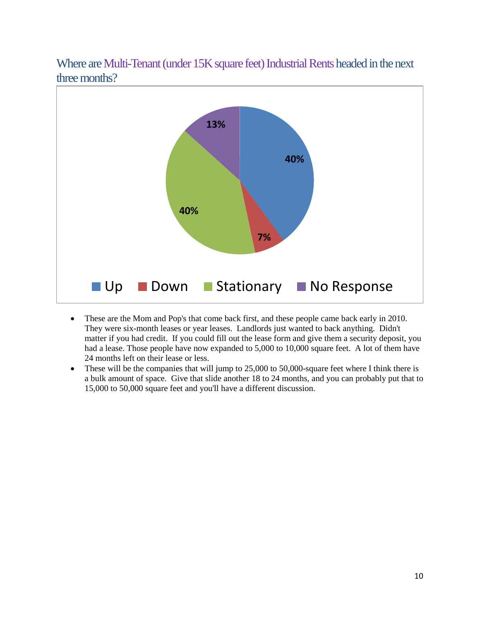Where are Multi-Tenant (under 15K square feet) Industrial Rents headed in the next three months?



- These are the Mom and Pop's that come back first, and these people came back early in 2010. They were six-month leases or year leases. Landlords just wanted to back anything. Didn't matter if you had credit. If you could fill out the lease form and give them a security deposit, you had a lease. Those people have now expanded to 5,000 to 10,000 square feet. A lot of them have 24 months left on their lease or less.
- These will be the companies that will jump to 25,000 to 50,000-square feet where I think there is a bulk amount of space. Give that slide another 18 to 24 months, and you can probably put that to 15,000 to 50,000 square feet and you'll have a different discussion.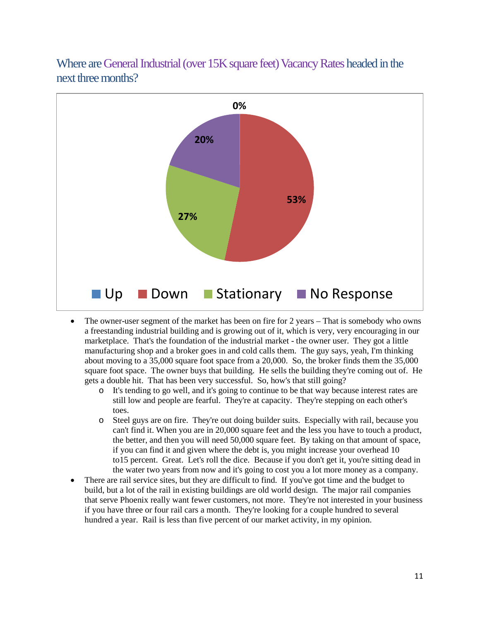Where are General Industrial (over 15K square feet) Vacancy Rates headed in the next three months?



- The owner-user segment of the market has been on fire for 2 years That is somebody who owns a freestanding industrial building and is growing out of it, which is very, very encouraging in our marketplace. That's the foundation of the industrial market - the owner user. They got a little manufacturing shop and a broker goes in and cold calls them. The guy says, yeah, I'm thinking about moving to a 35,000 square foot space from a 20,000. So, the broker finds them the 35,000 square foot space. The owner buys that building. He sells the building they're coming out of. He gets a double hit. That has been very successful. So, how's that still going?
	- o It's tending to go well, and it's going to continue to be that way because interest rates are still low and people are fearful. They're at capacity. They're stepping on each other's toes.
	- o Steel guys are on fire. They're out doing builder suits. Especially with rail, because you can't find it. When you are in 20,000 square feet and the less you have to touch a product, the better, and then you will need 50,000 square feet. By taking on that amount of space, if you can find it and given where the debt is, you might increase your overhead 10 to15 percent. Great. Let's roll the dice. Because if you don't get it, you're sitting dead in the water two years from now and it's going to cost you a lot more money as a company.
- There are rail service sites, but they are difficult to find. If you've got time and the budget to build, but a lot of the rail in existing buildings are old world design. The major rail companies that serve Phoenix really want fewer customers, not more. They're not interested in your business if you have three or four rail cars a month. They're looking for a couple hundred to several hundred a year. Rail is less than five percent of our market activity, in my opinion.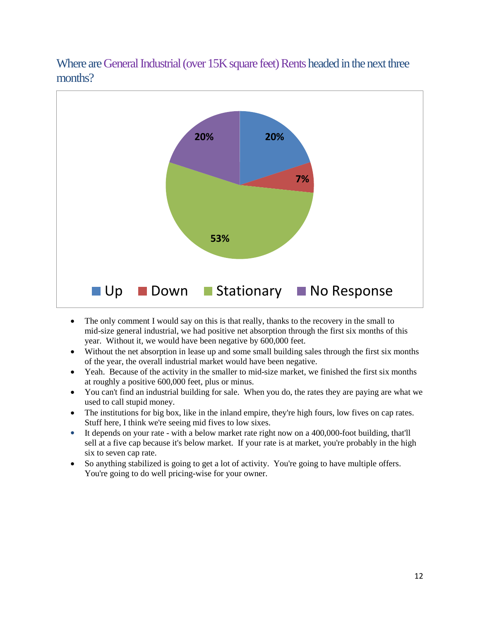Where are General Industrial (over 15K square feet) Rents headed in the next three months?



- The only comment I would say on this is that really, thanks to the recovery in the small to mid-size general industrial, we had positive net absorption through the first six months of this year. Without it, we would have been negative by 600,000 feet.
- Without the net absorption in lease up and some small building sales through the first six months of the year, the overall industrial market would have been negative.
- Yeah. Because of the activity in the smaller to mid-size market, we finished the first six months at roughly a positive 600,000 feet, plus or minus.
- You can't find an industrial building for sale. When you do, the rates they are paying are what we used to call stupid money.
- The institutions for big box, like in the inland empire, they're high fours, low fives on cap rates. Stuff here, I think we're seeing mid fives to low sixes.
- It depends on your rate with a below market rate right now on a 400,000-foot building, that'll sell at a five cap because it's below market. If your rate is at market, you're probably in the high six to seven cap rate.
- So anything stabilized is going to get a lot of activity. You're going to have multiple offers. You're going to do well pricing-wise for your owner.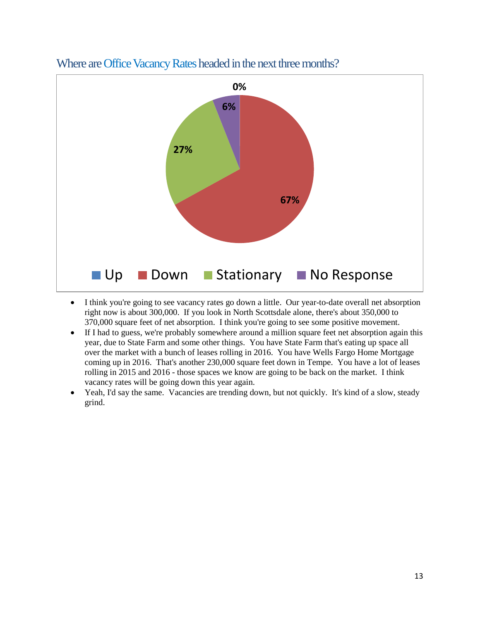

### Where are Office Vacancy Rates headed in the next three months?

- I think you're going to see vacancy rates go down a little. Our year-to-date overall net absorption right now is about 300,000. If you look in North Scottsdale alone, there's about 350,000 to 370,000 square feet of net absorption. I think you're going to see some positive movement.
- If I had to guess, we're probably somewhere around a million square feet net absorption again this year, due to State Farm and some other things. You have State Farm that's eating up space all over the market with a bunch of leases rolling in 2016. You have Wells Fargo Home Mortgage coming up in 2016. That's another 230,000 square feet down in Tempe. You have a lot of leases rolling in 2015 and 2016 - those spaces we know are going to be back on the market. I think vacancy rates will be going down this year again.
- Yeah, I'd say the same. Vacancies are trending down, but not quickly. It's kind of a slow, steady grind.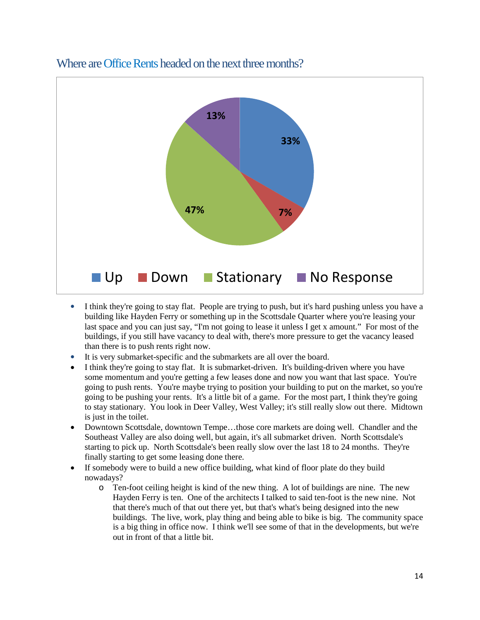

#### Where are Office Rents headed on the next three months?

- I think they're going to stay flat. People are trying to push, but it's hard pushing unless you have a building like Hayden Ferry or something up in the Scottsdale Quarter where you're leasing your last space and you can just say, "I'm not going to lease it unless I get x amount." For most of the buildings, if you still have vacancy to deal with, there's more pressure to get the vacancy leased than there is to push rents right now.
- It is very submarket-specific and the submarkets are all over the board.
- I think they're going to stay flat. It is submarket-driven. It's building-driven where you have some momentum and you're getting a few leases done and now you want that last space. You're going to push rents. You're maybe trying to position your building to put on the market, so you're going to be pushing your rents. It's a little bit of a game. For the most part, I think they're going to stay stationary. You look in Deer Valley, West Valley; it's still really slow out there. Midtown is just in the toilet.
- Downtown Scottsdale, downtown Tempe…those core markets are doing well. Chandler and the Southeast Valley are also doing well, but again, it's all submarket driven. North Scottsdale's starting to pick up. North Scottsdale's been really slow over the last 18 to 24 months. They're finally starting to get some leasing done there.
- If somebody were to build a new office building, what kind of floor plate do they build nowadays?
	- o Ten-foot ceiling height is kind of the new thing. A lot of buildings are nine. The new Hayden Ferry is ten. One of the architects I talked to said ten-foot is the new nine. Not that there's much of that out there yet, but that's what's being designed into the new buildings. The live, work, play thing and being able to bike is big. The community space is a big thing in office now. I think we'll see some of that in the developments, but we're out in front of that a little bit.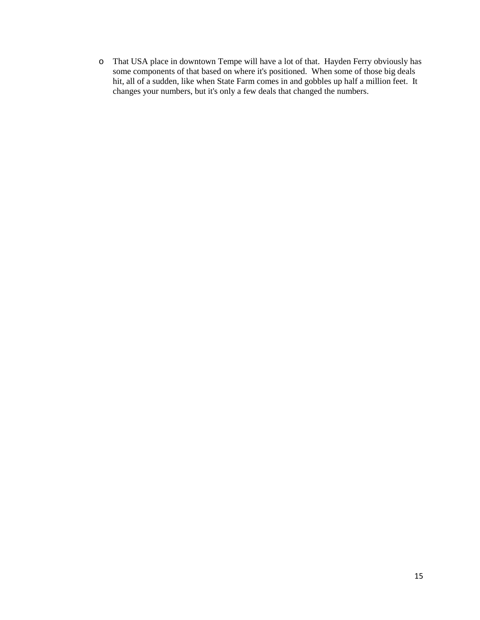o That USA place in downtown Tempe will have a lot of that. Hayden Ferry obviously has some components of that based on where it's positioned. When some of those big deals hit, all of a sudden, like when State Farm comes in and gobbles up half a million feet. It changes your numbers, but it's only a few deals that changed the numbers.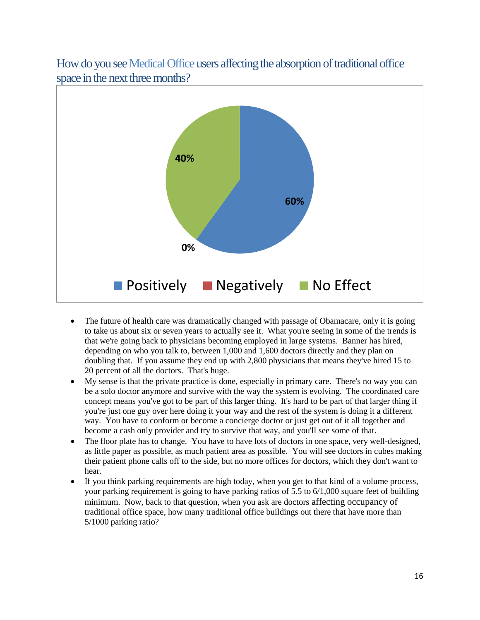

How do you see Medical Office users affecting the absorption of traditional office space in the next three months?

- The future of health care was dramatically changed with passage of Obamacare, only it is going to take us about six or seven years to actually see it. What you're seeing in some of the trends is that we're going back to physicians becoming employed in large systems. Banner has hired, depending on who you talk to, between 1,000 and 1,600 doctors directly and they plan on doubling that. If you assume they end up with 2,800 physicians that means they've hired 15 to 20 percent of all the doctors. That's huge.
- My sense is that the private practice is done, especially in primary care. There's no way you can be a solo doctor anymore and survive with the way the system is evolving. The coordinated care concept means you've got to be part of this larger thing. It's hard to be part of that larger thing if you're just one guy over here doing it your way and the rest of the system is doing it a different way. You have to conform or become a concierge doctor or just get out of it all together and become a cash only provider and try to survive that way, and you'll see some of that.
- The floor plate has to change. You have to have lots of doctors in one space, very well-designed, as little paper as possible, as much patient area as possible. You will see doctors in cubes making their patient phone calls off to the side, but no more offices for doctors, which they don't want to hear.
- If you think parking requirements are high today, when you get to that kind of a volume process, your parking requirement is going to have parking ratios of 5.5 to  $6/1,000$  square feet of building minimum. Now, back to that question, when you ask are doctors affecting occupancy of traditional office space, how many traditional office buildings out there that have more than 5/1000 parking ratio?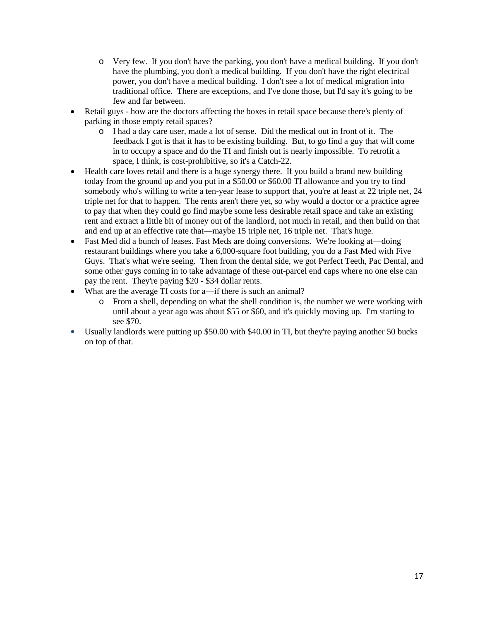- o Very few. If you don't have the parking, you don't have a medical building. If you don't have the plumbing, you don't a medical building. If you don't have the right electrical power, you don't have a medical building. I don't see a lot of medical migration into traditional office. There are exceptions, and I've done those, but I'd say it's going to be few and far between.
- Retail guys how are the doctors affecting the boxes in retail space because there's plenty of parking in those empty retail spaces?
	- o I had a day care user, made a lot of sense. Did the medical out in front of it. The feedback I got is that it has to be existing building. But, to go find a guy that will come in to occupy a space and do the TI and finish out is nearly impossible. To retrofit a space, I think, is cost-prohibitive, so it's a Catch-22.
- Health care loves retail and there is a huge synergy there. If you build a brand new building today from the ground up and you put in a \$50.00 or \$60.00 TI allowance and you try to find somebody who's willing to write a ten-year lease to support that, you're at least at 22 triple net, 24 triple net for that to happen. The rents aren't there yet, so why would a doctor or a practice agree to pay that when they could go find maybe some less desirable retail space and take an existing rent and extract a little bit of money out of the landlord, not much in retail, and then build on that and end up at an effective rate that—maybe 15 triple net, 16 triple net. That's huge.
- Fast Med did a bunch of leases. Fast Meds are doing conversions. We're looking at—doing restaurant buildings where you take a 6,000-square foot building, you do a Fast Med with Five Guys. That's what we're seeing. Then from the dental side, we got Perfect Teeth, Pac Dental, and some other guys coming in to take advantage of these out-parcel end caps where no one else can pay the rent. They're paying \$20 - \$34 dollar rents.
- What are the average TI costs for a—if there is such an animal?
	- o From a shell, depending on what the shell condition is, the number we were working with until about a year ago was about \$55 or \$60, and it's quickly moving up. I'm starting to see \$70.
- Usually landlords were putting up \$50.00 with \$40.00 in TI, but they're paying another 50 bucks on top of that.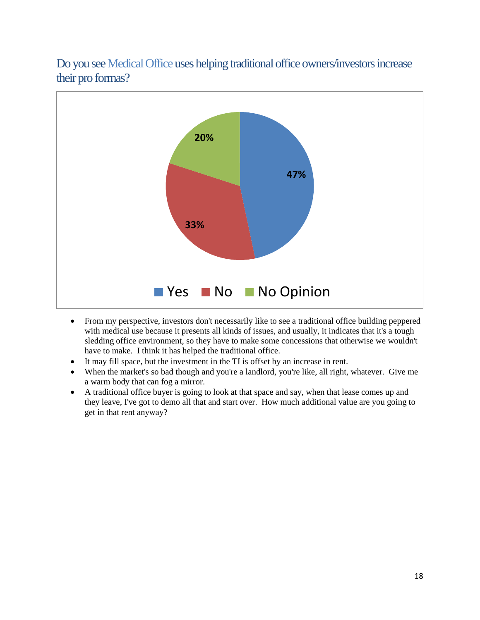Do you see Medical Office uses helping traditional office owners/investors increase their pro formas?



- From my perspective, investors don't necessarily like to see a traditional office building peppered with medical use because it presents all kinds of issues, and usually, it indicates that it's a tough sledding office environment, so they have to make some concessions that otherwise we wouldn't have to make. I think it has helped the traditional office.
- It may fill space, but the investment in the TI is offset by an increase in rent.
- When the market's so bad though and you're a landlord, you're like, all right, whatever. Give me a warm body that can fog a mirror.
- A traditional office buyer is going to look at that space and say, when that lease comes up and they leave, I've got to demo all that and start over. How much additional value are you going to get in that rent anyway?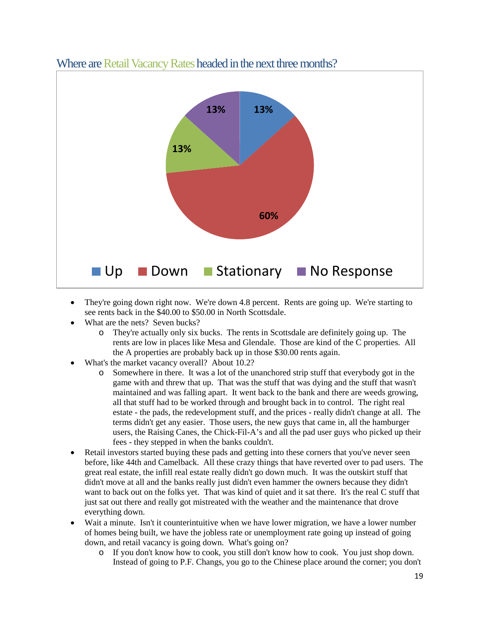

#### Where are Retail Vacancy Rates headed in the next three months?

- They're going down right now. We're down 4.8 percent. Rents are going up. We're starting to see rents back in the \$40.00 to \$50.00 in North Scottsdale.
- What are the nets? Seven bucks?
	- o They're actually only six bucks. The rents in Scottsdale are definitely going up. The rents are low in places like Mesa and Glendale. Those are kind of the C properties. All the A properties are probably back up in those \$30.00 rents again.
- What's the market vacancy overall? About 10.2?
	- o Somewhere in there. It was a lot of the unanchored strip stuff that everybody got in the game with and threw that up. That was the stuff that was dying and the stuff that wasn't maintained and was falling apart. It went back to the bank and there are weeds growing, all that stuff had to be worked through and brought back in to control. The right real estate - the pads, the redevelopment stuff, and the prices - really didn't change at all. The terms didn't get any easier. Those users, the new guys that came in, all the hamburger users, the Raising Canes, the Chick-Fil-A's and all the pad user guys who picked up their fees - they stepped in when the banks couldn't.
- Retail investors started buying these pads and getting into these corners that you've never seen before, like 44th and Camelback. All these crazy things that have reverted over to pad users. The great real estate, the infill real estate really didn't go down much. It was the outskirt stuff that didn't move at all and the banks really just didn't even hammer the owners because they didn't want to back out on the folks yet. That was kind of quiet and it sat there. It's the real C stuff that just sat out there and really got mistreated with the weather and the maintenance that drove everything down.
- Wait a minute. Isn't it counterintuitive when we have lower migration, we have a lower number of homes being built, we have the jobless rate or unemployment rate going up instead of going down, and retail vacancy is going down. What's going on?
	- o If you don't know how to cook, you still don't know how to cook. You just shop down. Instead of going to P.F. Changs, you go to the Chinese place around the corner; you don't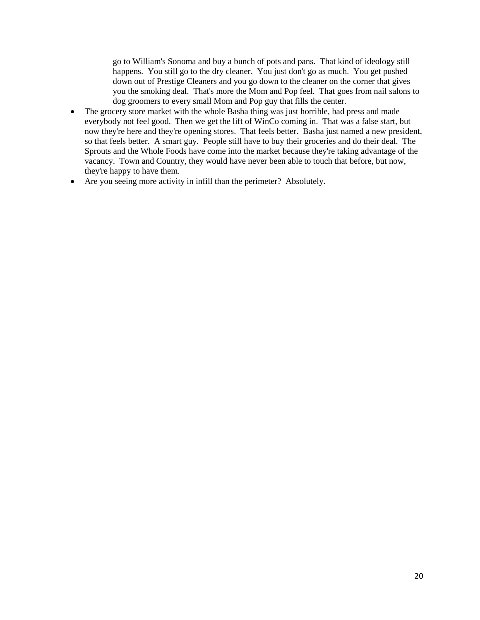go to William's Sonoma and buy a bunch of pots and pans. That kind of ideology still happens. You still go to the dry cleaner. You just don't go as much. You get pushed down out of Prestige Cleaners and you go down to the cleaner on the corner that gives you the smoking deal. That's more the Mom and Pop feel. That goes from nail salons to dog groomers to every small Mom and Pop guy that fills the center.

- The grocery store market with the whole Basha thing was just horrible, bad press and made everybody not feel good. Then we get the lift of WinCo coming in. That was a false start, but now they're here and they're opening stores. That feels better. Basha just named a new president, so that feels better. A smart guy. People still have to buy their groceries and do their deal. The Sprouts and the Whole Foods have come into the market because they're taking advantage of the vacancy. Town and Country, they would have never been able to touch that before, but now, they're happy to have them.
- Are you seeing more activity in infill than the perimeter? Absolutely.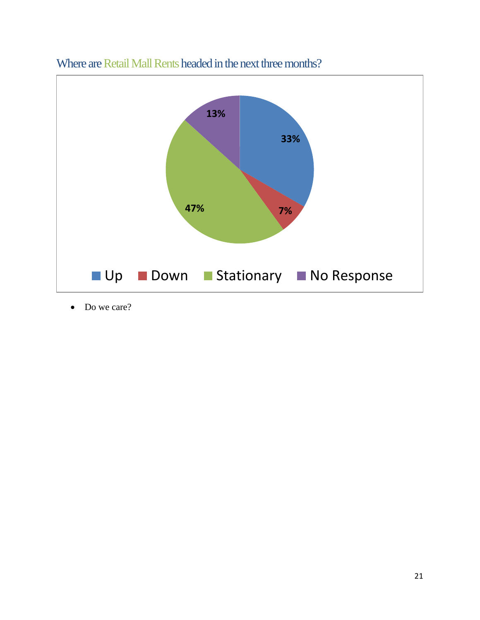

# Where are Retail Mall Rents headed in the next three months?

• Do we care?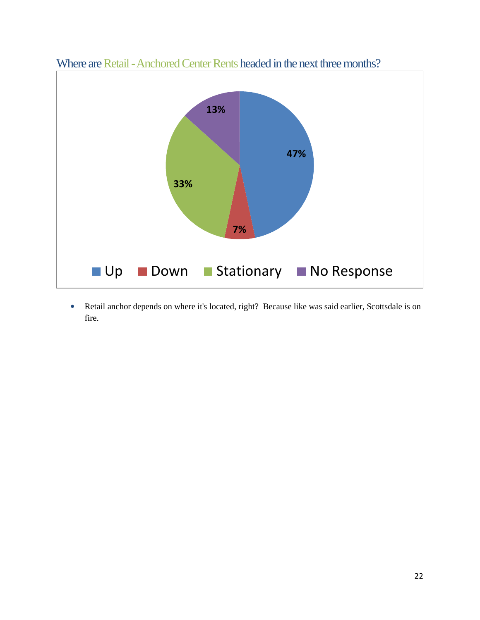

Where are Retail -Anchored Center Rents headed in the next three months?

• Retail anchor depends on where it's located, right? Because like was said earlier, Scottsdale is on fire.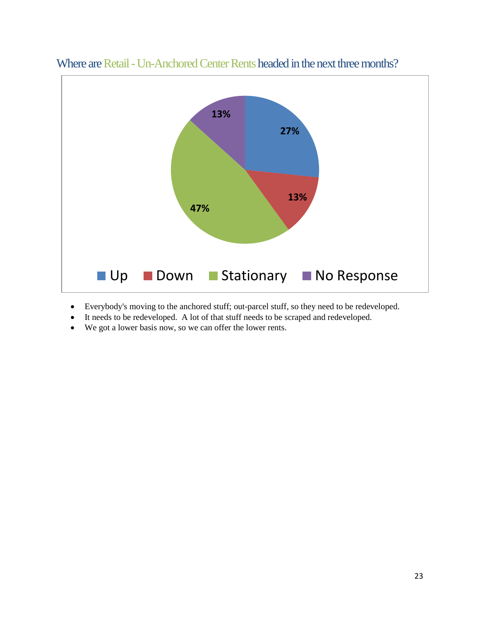

Where are Retail - Un-Anchored Center Rents headed in the next three months?

- Everybody's moving to the anchored stuff; out-parcel stuff, so they need to be redeveloped.
- It needs to be redeveloped. A lot of that stuff needs to be scraped and redeveloped.
- We got a lower basis now, so we can offer the lower rents.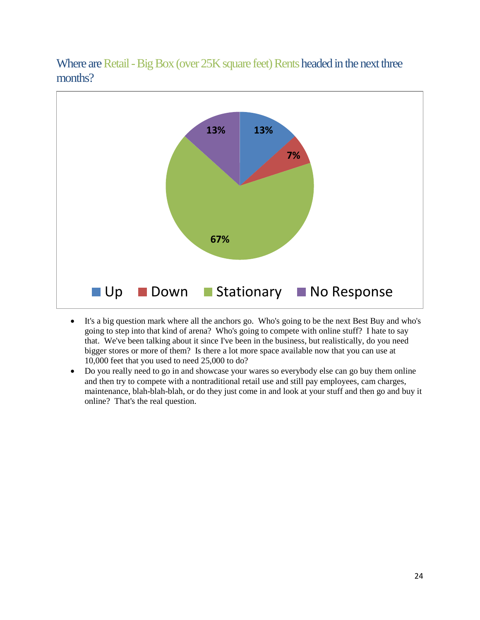Where are Retail - Big Box (over 25K square feet) Rents headed in the next three months?



- It's a big question mark where all the anchors go. Who's going to be the next Best Buy and who's going to step into that kind of arena? Who's going to compete with online stuff? I hate to say that. We've been talking about it since I've been in the business, but realistically, do you need bigger stores or more of them? Is there a lot more space available now that you can use at 10,000 feet that you used to need 25,000 to do?
- Do you really need to go in and showcase your wares so everybody else can go buy them online and then try to compete with a nontraditional retail use and still pay employees, cam charges, maintenance, blah-blah-blah, or do they just come in and look at your stuff and then go and buy it online? That's the real question.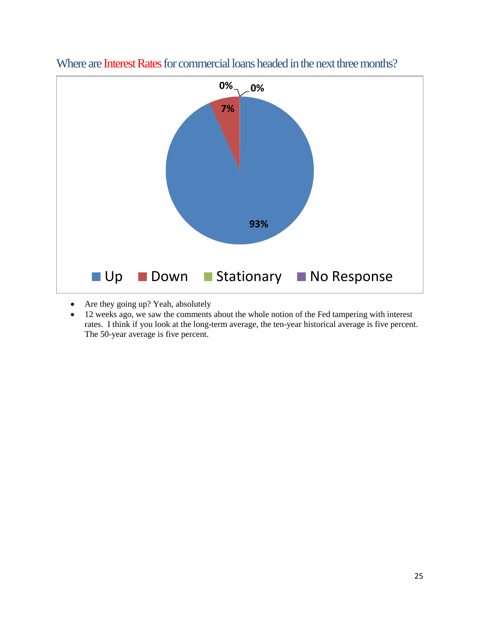

Where are Interest Rates for commercial loans headed in the next three months?

- Are they going up? Yeah, absolutely
- 12 weeks ago, we saw the comments about the whole notion of the Fed tampering with interest rates. I think if you look at the long-term average, the ten-year historical average is five percent. The 50-year average is five percent.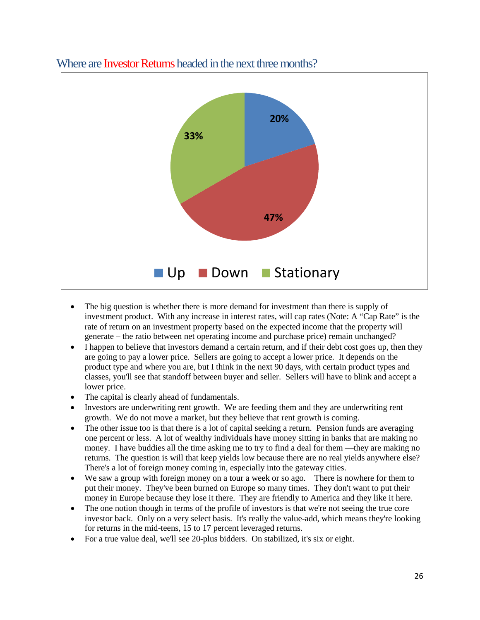

#### Where are Investor Returns headed in the next three months?

- The big question is whether there is more demand for investment than there is supply of investment product. With any increase in interest rates, will cap rates (Note: A "Cap Rate" is the rate of return on an investment property based on the expected income that the property will generate – the ratio between net operating income and purchase price) remain unchanged?
- I happen to believe that investors demand a certain return, and if their debt cost goes up, then they are going to pay a lower price. Sellers are going to accept a lower price. It depends on the product type and where you are, but I think in the next 90 days, with certain product types and classes, you'll see that standoff between buyer and seller. Sellers will have to blink and accept a lower price.
- The capital is clearly ahead of fundamentals.
- Investors are underwriting rent growth. We are feeding them and they are underwriting rent growth. We do not move a market, but they believe that rent growth is coming.
- The other issue too is that there is a lot of capital seeking a return. Pension funds are averaging one percent or less. A lot of wealthy individuals have money sitting in banks that are making no money. I have buddies all the time asking me to try to find a deal for them —they are making no returns. The question is will that keep yields low because there are no real yields anywhere else? There's a lot of foreign money coming in, especially into the gateway cities.
- We saw a group with foreign money on a tour a week or so ago. There is nowhere for them to put their money. They've been burned on Europe so many times. They don't want to put their money in Europe because they lose it there. They are friendly to America and they like it here.
- The one notion though in terms of the profile of investors is that we're not seeing the true core investor back. Only on a very select basis. It's really the value-add, which means they're looking for returns in the mid-teens, 15 to 17 percent leveraged returns.
- For a true value deal, we'll see 20-plus bidders. On stabilized, it's six or eight.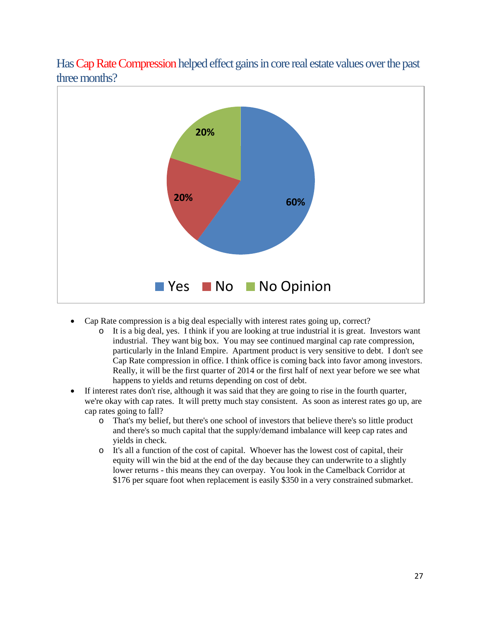



- Cap Rate compression is a big deal especially with interest rates going up, correct?
	- o It is a big deal, yes. I think if you are looking at true industrial it is great. Investors want industrial. They want big box. You may see continued marginal cap rate compression, particularly in the Inland Empire. Apartment product is very sensitive to debt. I don't see Cap Rate compression in office. I think office is coming back into favor among investors. Really, it will be the first quarter of 2014 or the first half of next year before we see what happens to yields and returns depending on cost of debt.
- If interest rates don't rise, although it was said that they are going to rise in the fourth quarter, we're okay with cap rates. It will pretty much stay consistent. As soon as interest rates go up, are cap rates going to fall?
	- o That's my belief, but there's one school of investors that believe there's so little product and there's so much capital that the supply/demand imbalance will keep cap rates and yields in check.
	- o It's all a function of the cost of capital. Whoever has the lowest cost of capital, their equity will win the bid at the end of the day because they can underwrite to a slightly lower returns - this means they can overpay. You look in the Camelback Corridor at \$176 per square foot when replacement is easily \$350 in a very constrained submarket.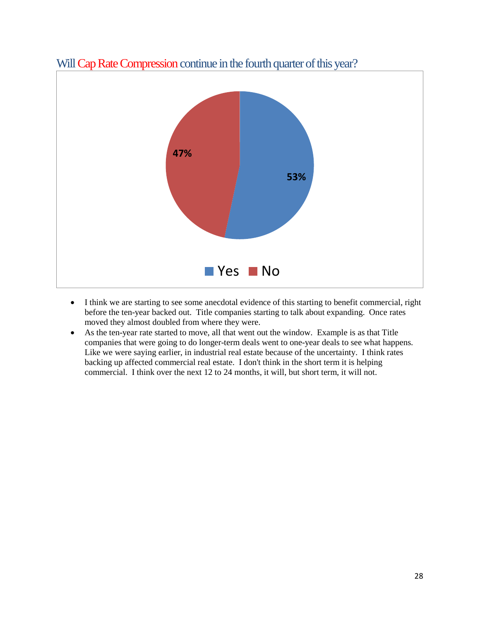

## Will Cap Rate Compression continue in the fourth quarter of this year?

- I think we are starting to see some anecdotal evidence of this starting to benefit commercial, right before the ten-year backed out. Title companies starting to talk about expanding. Once rates moved they almost doubled from where they were.
- As the ten-year rate started to move, all that went out the window. Example is as that Title companies that were going to do longer-term deals went to one-year deals to see what happens. Like we were saying earlier, in industrial real estate because of the uncertainty. I think rates backing up affected commercial real estate. I don't think in the short term it is helping commercial. I think over the next 12 to 24 months, it will, but short term, it will not.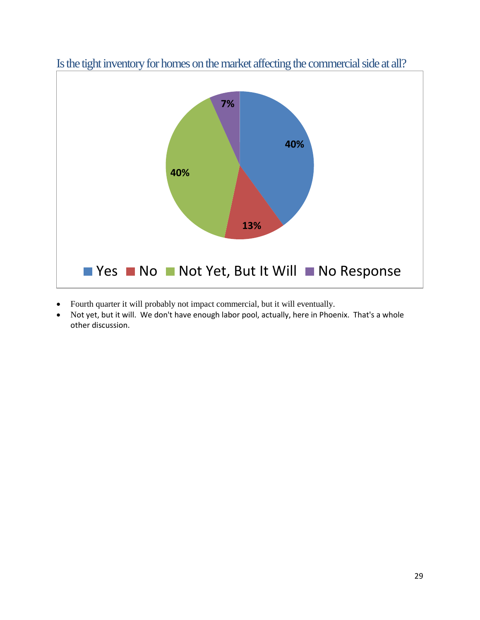

Is the tight inventory for homes on the market affecting the commercial side at all?

- Fourth quarter it will probably not impact commercial, but it will eventually.
- Not yet, but it will. We don't have enough labor pool, actually, here in Phoenix. That's a whole other discussion.